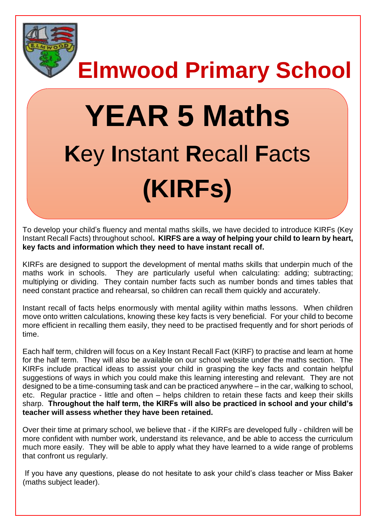

**Elmwood Primary School**

# **YEAR 5 Maths K**ey **I**nstant **R**ecall **F**acts **(KIRFs)**

To develop your child's fluency and mental maths skills, we have decided to introduce KIRFs (Key Instant Recall Facts) throughout school**. KIRFS are a way of helping your child to learn by heart, key facts and information which they need to have instant recall of.** 

KIRFs are designed to support the development of mental maths skills that underpin much of the maths work in schools. They are particularly useful when calculating: adding; subtracting; multiplying or dividing. They contain number facts such as number bonds and times tables that need constant practice and rehearsal, so children can recall them quickly and accurately.

Instant recall of facts helps enormously with mental agility within maths lessons. When children move onto written calculations, knowing these key facts is very beneficial. For your child to become more efficient in recalling them easily, they need to be practised frequently and for short periods of time.

Each half term, children will focus on a Key Instant Recall Fact (KIRF) to practise and learn at home for the half term. They will also be available on our school website under the maths section. The KIRFs include practical ideas to assist your child in grasping the key facts and contain helpful suggestions of ways in which you could make this learning interesting and relevant.They are not designed to be a time-consuming task and can be practiced anywhere – in the car, walking to school, etc. Regular practice - little and often – helps children to retain these facts and keep their skills sharp. **Throughout the half term, the KIRFs will also be practiced in school and your child's teacher will assess whether they have been retained.** 

Over their time at primary school, we believe that - if the KIRFs are developed fully - children will be more confident with number work, understand its relevance, and be able to access the curriculum much more easily. They will be able to apply what they have learned to a wide range of problems that confront us regularly.

If you have any questions, please do not hesitate to ask your child's class teacher or Miss Baker (maths subject leader).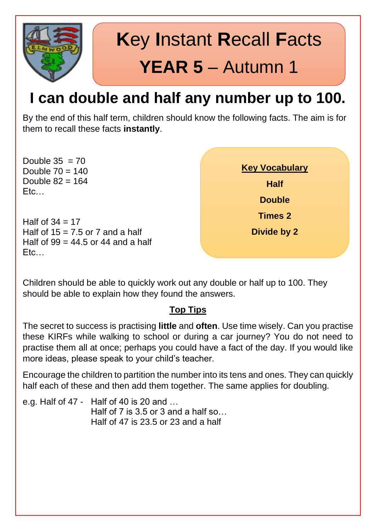

# **K**ey **I**nstant **R**ecall **F**acts **YEAR 5** – Autumn 1

### **I can double and half any number up to 100.**

By the end of this half term, children should know the following facts. The aim is for them to recall these facts **instantly**.

Double  $35 = 70$ Double  $70 = 140$ Double  $82 = 164$ Etc…

Half of  $34 = 17$ Half of  $15 = 7.5$  or 7 and a half Half of  $99 = 44.5$  or 44 and a half Etc…



Children should be able to quickly work out any double or half up to 100. They should be able to explain how they found the answers.

### **Top Tips**

The secret to success is practising **little** and **often**. Use time wisely. Can you practise these KIRFs while walking to school or during a car journey? You do not need to practise them all at once; perhaps you could have a fact of the day. If you would like more ideas, please speak to your child's teacher.

Encourage the children to partition the number into its tens and ones. They can quickly half each of these and then add them together. The same applies for doubling.

e.g. Half of 47 - Half of 40 is 20 and … Half of 7 is  $3.5$  or 3 and a half so... Half of 47 is 23.5 or 23 and a half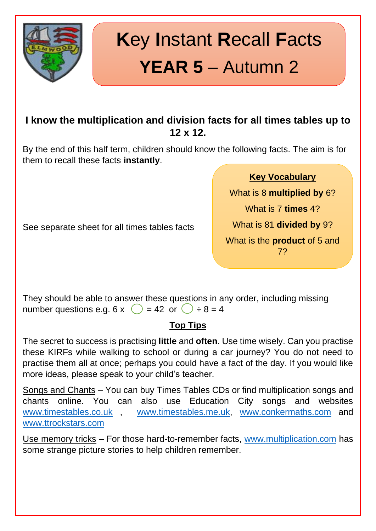

# **K**ey **I**nstant **R**ecall **F**acts **YEAR 5** – Autumn 2

### **I know the multiplication and division facts for all times tables up to 12 x 12.**

By the end of this half term, children should know the following facts. The aim is for them to recall these facts **instantly**.

#### **Key Vocabulary**

What is 8 **multiplied by** 6? What is 7 **times** 4? What is 81 **divided by** 9? What is the **product** of 5 and 7?

See separate sheet for all times tables facts

They should be able to answer these questions in any order, including missing number questions e.g. 6 x  $\bigcirc$  = 42 or  $\bigcirc$  ÷ 8 = 4

### **Top Tips**

The secret to success is practising **little** and **often**. Use time wisely. Can you practise these KIRFs while walking to school or during a car journey? You do not need to practise them all at once; perhaps you could have a fact of the day. If you would like more ideas, please speak to your child's teacher.

Songs and Chants – You can buy Times Tables CDs or find multiplication songs and chants online. You can also use Education City songs and websites [www.timestables.co.uk](http://www.timestables.co.uk/) [www.timestables.me.uk,](http://www.timestables.me.uk/) [www.conkermaths.com](http://www.conkermaths.com/) and [www.ttrockstars.com](http://www.ttrockstars.com/)

Use memory tricks - For those hard-to-remember facts, [www.multiplication.com](http://www.multiplication.com/) has some strange picture stories to help children remember.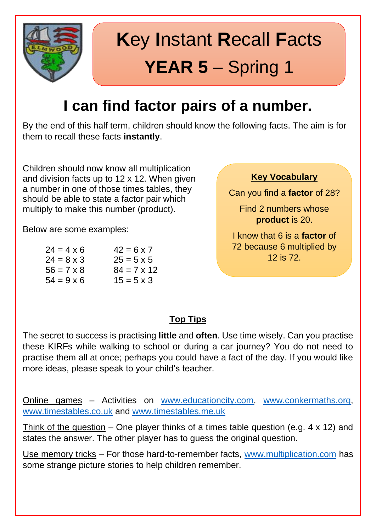

# **K**ey **I**nstant **R**ecall **F**acts **YEAR 5** – Spring 1

### **I can find factor pairs of a number.**

By the end of this half term, children should know the following facts. The aim is for them to recall these facts **instantly**.

Children should now know all multiplication and division facts up to 12 x 12. When given a number in one of those times tables, they should be able to state a factor pair which multiply to make this number (product).

Below are some examples:

| $42 = 6 \times 7$  |
|--------------------|
| $25 = 5 \times 5$  |
| $84 = 7 \times 12$ |
| $15 = 5 \times 3$  |
|                    |

#### **Key Vocabulary**

Can you find a **factor** of 28?

Find 2 numbers whose **product** is 20.

I know that 6 is a **factor** of 72 because 6 multiplied by 12 is 72.

### **Top Tips**

The secret to success is practising **little** and **often**. Use time wisely. Can you practise these KIRFs while walking to school or during a car journey? You do not need to practise them all at once; perhaps you could have a fact of the day. If you would like more ideas, please speak to your child's teacher.

Online games – Activities on [www.educationcity.com,](http://www.educationcity.com/) [www.conkermaths.org,](http://www.conkermaths.org/) [www.timestables.co.uk](http://www.timestables.co.uk/) and [www.timestables.me.uk](http://www.timestables.me.uk/)

Think of the question – One player thinks of a times table question (e.g.  $4 \times 12$ ) and states the answer. The other player has to guess the original question.

Use memory tricks – For those hard-to-remember facts, [www.multiplication.com](http://www.multiplication.com/) has some strange picture stories to help children remember.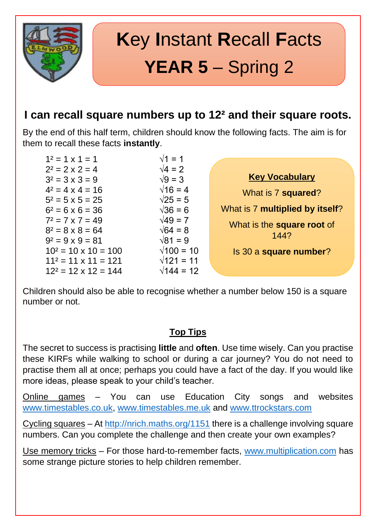

# **K**ey **I**nstant **R**ecall **F**acts **YEAR 5** – Spring 2

### **I can recall square numbers up to 12² and their square roots.**

By the end of this half term, children should know the following facts. The aim is for them to recall these facts **instantly**.

| $1^2 = 1 \times 1 = 1$      | $\sqrt{1} = 1$    |                                   |
|-----------------------------|-------------------|-----------------------------------|
| $2^2 = 2 \times 2 = 4$      | $\sqrt{4}$ = 2    |                                   |
| $3^2 = 3 \times 3 = 9$      | $\sqrt{9} = 3$    | <b>Key Vocabulary</b>             |
| $4^2 = 4 \times 4 = 16$     | $\sqrt{16} = 4$   | What is 7 squared?                |
| $5^2 = 5 \times 5 = 25$     | $\sqrt{25} = 5$   |                                   |
| $6^2 = 6 \times 6 = 36$     | $\sqrt{36} = 6$   | What is 7 multiplied by itself?   |
| $7^2 = 7 \times 7 = 49$     | $\sqrt{49} = 7$   |                                   |
| $8^2 = 8 \times 8 = 64$     | $\sqrt{64} = 8$   | What is the <b>square root</b> of |
| $9^2 = 9 \times 9 = 81$     | $\sqrt{81} = 9$   | 144?                              |
| $10^2 = 10 \times 10 = 100$ | $\sqrt{100} = 10$ | Is 30 a square number?            |
| $11^2 = 11 \times 11 = 121$ | $\sqrt{121} = 11$ |                                   |
| $12^2 = 12 \times 12 = 144$ | $\sqrt{144} = 12$ |                                   |

Children should also be able to recognise whether a number below 150 is a square number or not.

### **Top Tips**

The secret to success is practising **little** and **often**. Use time wisely. Can you practise these KIRFs while walking to school or during a car journey? You do not need to practise them all at once; perhaps you could have a fact of the day. If you would like more ideas, please speak to your child's teacher.

Online games – You can use Education City songs and websites [www.timestables.co.uk,](http://www.timestables.co.uk/) [www.timestables.me.uk](http://www.timestables.me.uk/) and [www.ttrockstars.com](http://www.ttrockstars.com/)

Cycling squares – At<http://nrich.maths.org/1151> there is a challenge involving square numbers. Can you complete the challenge and then create your own examples?

Use memory tricks – For those hard-to-remember facts, [www.multiplication.com](http://www.multiplication.com/) has some strange picture stories to help children remember.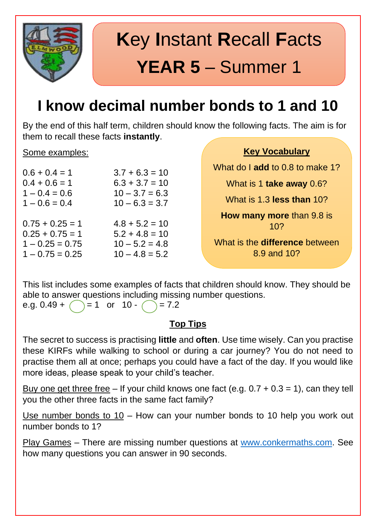

# **K**ey **I**nstant **R**ecall **F**acts **YEAR 5** – Summer 1

### **I know decimal number bonds to 1 and 10**

By the end of this half term, children should know the following facts. The aim is for them to recall these facts **instantly**.

#### Some examples:

| $0.6 + 0.4 = 1$   | $3.7 + 6.3 = 10$ |
|-------------------|------------------|
| $0.4 + 0.6 = 1$   | $6.3 + 3.7 = 10$ |
| $1 - 0.4 = 0.6$   | $10 - 3.7 = 6.3$ |
| $1 - 0.6 = 0.4$   | $10 - 6.3 = 3.7$ |
|                   |                  |
| $0.75 + 0.25 = 1$ | $4.8 + 5.2 = 10$ |
| $0.25 + 0.75 = 1$ | $5.2 + 4.8 = 10$ |
| $1 - 0.25 = 0.75$ | $10 - 5.2 = 4.8$ |
| $1 - 0.75 = 0.25$ | $10 - 4.8 = 5.2$ |

**Key Vocabulary**

What do I **add** to 0.8 to make 1?

What is 1 **take away** 0.6?

What is 1.3 **less than** 10?

**How many more** than 9.8 is 10?

What is the **difference** between 8.9 and 10?

This list includes some examples of facts that children should know. They should be able to answer questions including missing number questions. e.g.  $0.49 + \bigcirc = 1$  or  $10 - \bigcirc = 7.2$ 

### **Top Tips**

The secret to success is practising **little** and **often**. Use time wisely. Can you practise these KIRFs while walking to school or during a car journey? You do not need to practise them all at once; perhaps you could have a fact of the day. If you would like more ideas, please speak to your child's teacher.

Buy one get three free – If your child knows one fact (e.g.  $0.7 + 0.3 = 1$ ), can they tell you the other three facts in the same fact family?

Use number bonds to 10 – How can your number bonds to 10 help you work out number bonds to 1?

Play Games – There are missing number questions at [www.conkermaths.com.](http://www.conkermaths.com/) See how many questions you can answer in 90 seconds.